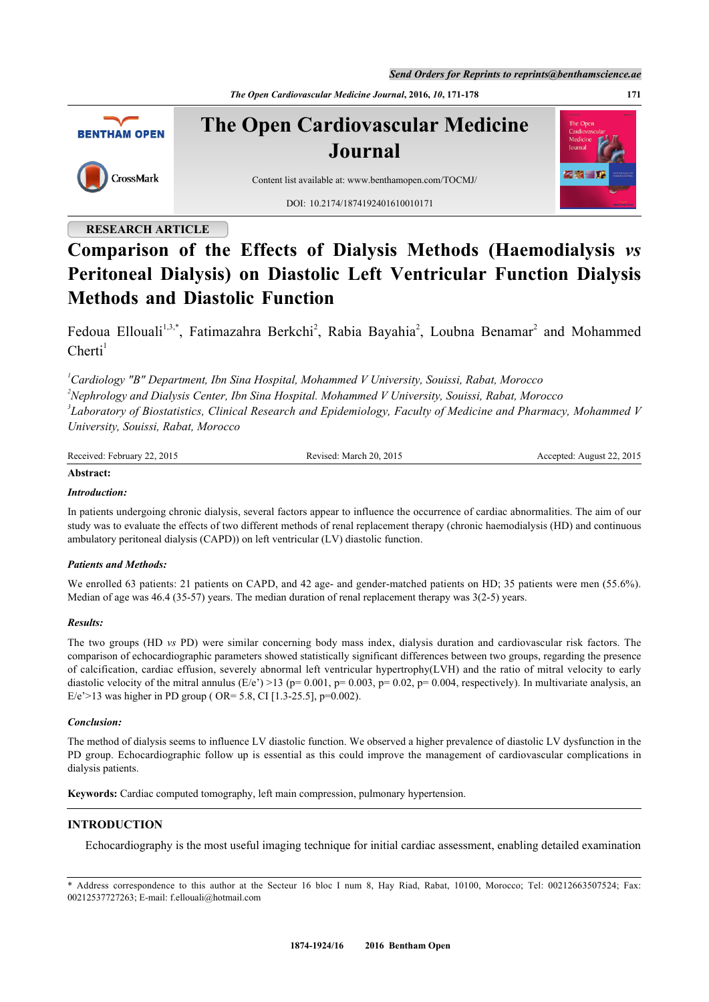*Send Orders for Reprints to reprints@benthamscience.ae*

*The Open Cardiovascular Medicine Journal***, 2016,** *10***, 171-178 171**



**The Open Cardiovascular Medicine Journal**



Content list available at: [www.benthamopen.com/TOCMJ/](http://www.benthamopen.com/TOCMJ/)

DOI: [10.2174/1874192401610010171](http://dx.doi.org/10.2174/18741924016100100171)

# **RESEARCH ARTICLE**

# **Comparison of the Effects of Dialysis Methods (Haemodialysis** *vs* **Peritoneal Dialysis) on Diastolic Left Ventricular Function Dialysis Methods and Diastolic Function**

Fedoua Ellouali<sup>[1](#page-0-0),[3](#page-0-1)[,\\*](#page-0-2)</sup>, Fatimazahra Berkchi<sup>[2](#page-0-3)</sup>, Rabia Bayahia<sup>2</sup>, Loubna Benamar<sup>2</sup> and Mohammed  $Cherti<sup>1</sup>$  $Cherti<sup>1</sup>$  $Cherti<sup>1</sup>$ 

<span id="page-0-3"></span><span id="page-0-1"></span><span id="page-0-0"></span>*Cardiology "B" Department, Ibn Sina Hospital, Mohammed V University, Souissi, Rabat, Morocco Nephrology and Dialysis Center, Ibn Sina Hospital. Mohammed V University, Souissi, Rabat, Morocco Laboratory of Biostatistics, Clinical Research and Epidemiology, Faculty of Medicine and Pharmacy, Mohammed V University, Souissi, Rabat, Morocco*

| Received: February 22, | ed: March 20. 2015 | August 22, 2015 |
|------------------------|--------------------|-----------------|
| 122.2015               | Revised:           | Accepted:       |

### **Abstract:**

### *Introduction:*

In patients undergoing chronic dialysis, several factors appear to influence the occurrence of cardiac abnormalities. The aim of our study was to evaluate the effects of two different methods of renal replacement therapy (chronic haemodialysis (HD) and continuous ambulatory peritoneal dialysis (CAPD)) on left ventricular (LV) diastolic function.

# *Patients and Methods:*

We enrolled 63 patients: 21 patients on CAPD, and 42 age- and gender-matched patients on HD; 35 patients were men (55.6%). Median of age was 46.4 (35-57) years. The median duration of renal replacement therapy was 3(2-5) years.

### *Results:*

The two groups (HD *vs* PD) were similar concerning body mass index, dialysis duration and cardiovascular risk factors. The comparison of echocardiographic parameters showed statistically significant differences between two groups, regarding the presence of calcification, cardiac effusion, severely abnormal left ventricular hypertrophy(LVH) and the ratio of mitral velocity to early diastolic velocity of the mitral annulus (E/e') >13 (p= 0.001, p= 0.003, p= 0.02, p= 0.004, respectively). In multivariate analysis, an E/e'>13 was higher in PD group ( OR= 5.8, CI [1.3-25.5], p=0.002).

### *Conclusion:*

The method of dialysis seems to influence LV diastolic function. We observed a higher prevalence of diastolic LV dysfunction in the PD group. Echocardiographic follow up is essential as this could improve the management of cardiovascular complications in dialysis patients.

**Keywords:** Cardiac computed tomography, left main compression, pulmonary hypertension.

# **INTRODUCTION**

Echocardiography is the most useful imaging technique for initial cardiac assessment, enabling detailed examination

<span id="page-0-2"></span>\* Address correspondence to this author at the Secteur 16 bloc I num 8, Hay Riad, Rabat, 10100, Morocco; Tel: 00212663507524; Fax: 00212537727263; E-mail: [f.ellouali@hotmail.com](mailto:f.ellouali@hotmail.com)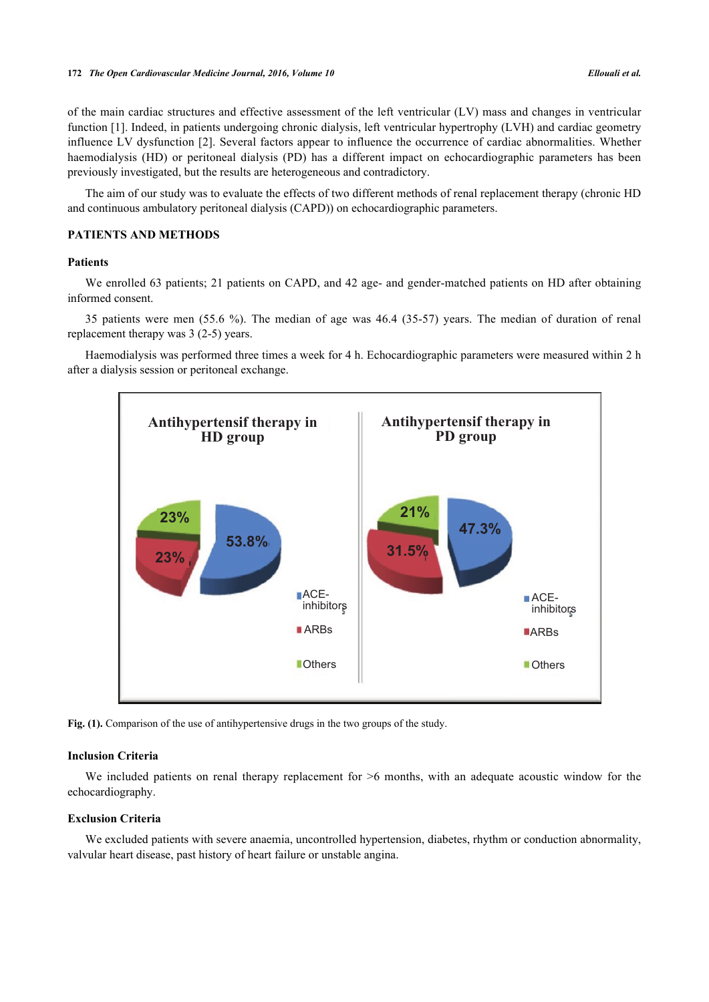of the main cardiac structures and effective assessment of the left ventricular (LV) mass and changes in ventricular function [[1\]](#page-6-0). Indeed, in patients undergoing chronic dialysis, left ventricular hypertrophy (LVH) and cardiac geometry influence LV dysfunction [[2](#page-6-1)]. Several factors appear to influence the occurrence of cardiac abnormalities. Whether haemodialysis (HD) or peritoneal dialysis (PD) has a different impact on echocardiographic parameters has been previously investigated, but the results are heterogeneous and contradictory.

The aim of our study was to evaluate the effects of two different methods of renal replacement therapy (chronic HD and continuous ambulatory peritoneal dialysis (CAPD)) on echocardiographic parameters.

# **PATIENTS AND METHODS**

### **Patients**

We enrolled 63 patients; 21 patients on CAPD, and 42 age- and gender-matched patients on HD after obtaining informed consent.

35 patients were men (55.6 %). The median of age was 46.4 (35-57) years. The median of duration of renal replacement therapy was 3 (2-5) years.

<span id="page-1-0"></span>Haemodialysis was performed three times a week for 4 h. Echocardiographic parameters were measured within 2 h after a dialysis session or peritoneal exchange.



Fig. (1). Comparison of the use of antihypertensive drugs in the two groups of the study.

### **Inclusion Criteria**

We included patients on renal therapy replacement for  $>6$  months, with an adequate acoustic window for the echocardiography.

### **Exclusion Criteria**

We excluded patients with severe anaemia, uncontrolled hypertension, diabetes, rhythm or conduction abnormality, valvular heart disease, past history of heart failure or unstable angina.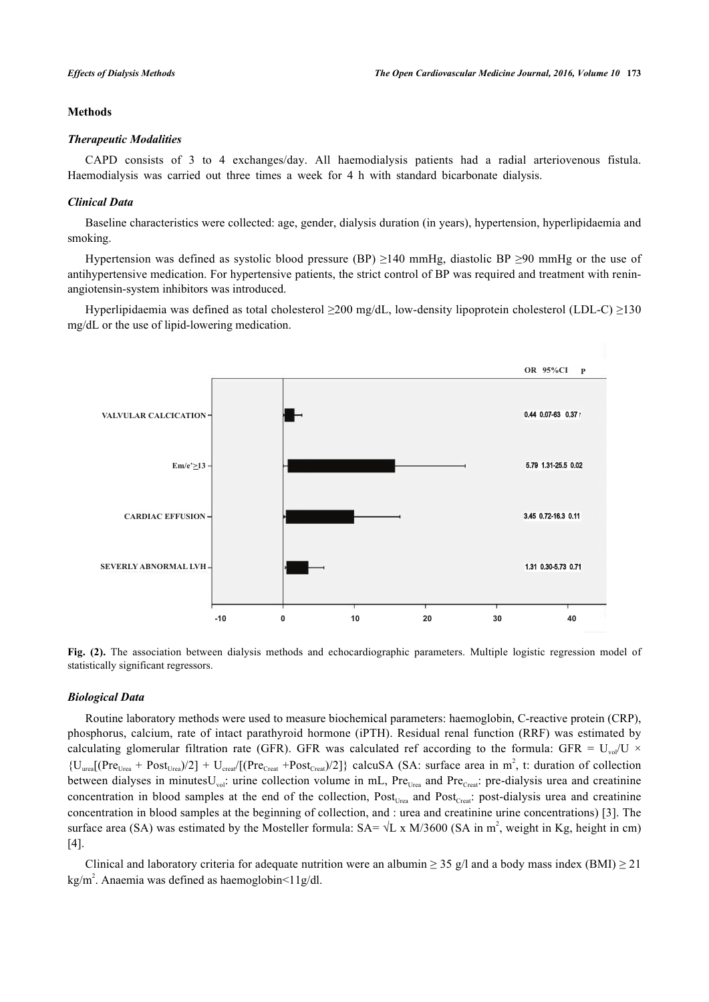### **Methods**

### *Therapeutic Modalities*

CAPD consists of 3 to 4 exchanges/day. All haemodialysis patients had a radial arteriovenous fistula. Haemodialysis was carried out three times a week for 4 h with standard bicarbonate dialysis.

# *Clinical Data*

Baseline characteristics were collected: age, gender, dialysis duration (in years), hypertension, hyperlipidaemia and smoking.

Hypertension was defined as systolic blood pressure (BP)  $\geq$ 140 mmHg, diastolic BP  $\geq$ 90 mmHg or the use of antihypertensive medication. For hypertensive patients, the strict control of BP was required and treatment with reninangiotensin-system inhibitors was introduced.

<span id="page-2-0"></span>Hyperlipidaemia was defined as total cholesterol ≥200 mg/dL, low-density lipoprotein cholesterol (LDL-C) ≥130 mg/dL or the use of lipid-lowering medication.





# *Biological Data*

Routine laboratory methods were used to measure biochemical parameters: haemoglobin, C-reactive protein (CRP), phosphorus, calcium, rate of intact parathyroid hormone (iPTH). Residual renal function (RRF) was estimated by calculating glomerular filtration rate (GFR). GFR was calculated ref according to the formula: GFR =  $U_{\text{vol}}/U \times$  $\{U_{\text{ureal}}(\text{Pre}_{\text{Urea}} + \text{Post}_{\text{Urea}})/2] + U_{\text{creat}}/(\text{Pre}_{\text{Creat}} + \text{Post}_{\text{Creat}})/2\}$  calcuSA (SA: surface area in m<sup>2</sup>, t: duration of collection between dialyses in minutes $U_{\text{vol}}$ : urine collection volume in mL, Pre<sub>Urea</sub> and Pre<sub>Creat</sub>: pre-dialysis urea and creatinine concentration in blood samples at the end of the collection,  $Post_{Urea}$  and  $Post_{Creat}}$ : post-dialysis urea and creatinine concentration in blood samples at the beginning of collection, and : urea and creatinine urine concentrations) [[3](#page-6-2)]. The surface area (SA) was estimated by the Mosteller formula:  $SA = \sqrt{L} \times M/3600$  (SA in m<sup>2</sup>, weight in Kg, height in cm) [\[4](#page-6-3)].

Clinical and laboratory criteria for adequate nutrition were an albumin  $\geq$  35 g/l and a body mass index (BMI)  $\geq$  21 kg/m<sup>2</sup>. Anaemia was defined as haemoglobin<11g/dl.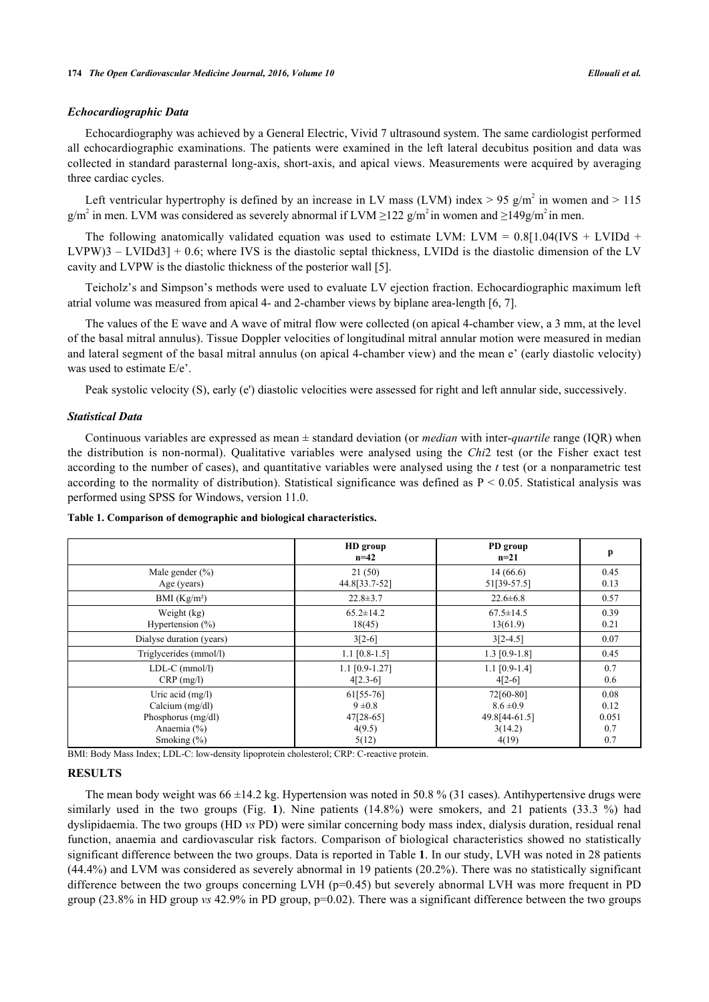### *Echocardiographic Data*

Echocardiography was achieved by a General Electric, Vivid 7 ultrasound system. The same cardiologist performed all echocardiographic examinations. The patients were examined in the left lateral decubitus position and data was collected in standard parasternal long-axis, short-axis, and apical views. Measurements were acquired by averaging three cardiac cycles.

Left ventricular hypertrophy is defined by an increase in LV mass (LVM) index > 95 g/m<sup>2</sup> in women and > 115 g/m<sup>2</sup> in men. LVM was considered as severely abnormal if LVM  $\geq$ 122 g/m<sup>2</sup> in women and  $\geq$ 149g/m<sup>2</sup> in men.

The following anatomically validated equation was used to estimate LVM: LVM =  $0.8[1.04(IVS + LVIDd +$ LVPW)3 – LVIDd3] + 0.6; where IVS is the diastolic septal thickness, LVIDd is the diastolic dimension of the LV cavity and LVPW is the diastolic thickness of the posterior wall [\[5](#page-6-4)].

Teicholz's and Simpson's methods were used to evaluate LV ejection fraction. Echocardiographic maximum left atrial volume was measured from apical 4- and 2-chamber views by biplane area-length [[6,](#page-6-5) [7\]](#page-6-6).

The values of the E wave and A wave of mitral flow were collected (on apical 4-chamber view, a 3 mm, at the level of the basal mitral annulus). Tissue Doppler velocities of longitudinal mitral annular motion were measured in median and lateral segment of the basal mitral annulus (on apical 4-chamber view) and the mean e' (early diastolic velocity) was used to estimate E/e'.

Peak systolic velocity (S), early (e') diastolic velocities were assessed for right and left annular side, successively.

#### *Statistical Data*

Continuous variables are expressed as mean ± standard deviation (or *median* with inter-*quartile* range (IQR) when the distribution is non-normal). Qualitative variables were analysed using the *Chi*2 test (or the Fisher exact test according to the number of cases), and quantitative variables were analysed using the *t* test (or a nonparametric test according to the normality of distribution). Statistical significance was defined as  $P \le 0.05$ . Statistical analysis was performed using SPSS for Windows, version 11.0.

|                                                                                               | HD group<br>$n=42$                                       | PD group<br>$n=21$                                              | p                                   |
|-----------------------------------------------------------------------------------------------|----------------------------------------------------------|-----------------------------------------------------------------|-------------------------------------|
| Male gender $(\% )$<br>Age (years)                                                            | 21(50)<br>44.8[33.7-52]                                  | 14(66.6)<br>51[39-57.5]                                         | 0.45<br>0.13                        |
| BMI $(Kg/m2)$                                                                                 | $22.8 \pm 3.7$                                           | $22.6 \pm 6.8$                                                  | 0.57                                |
| Weight (kg)<br>Hypertension $(\% )$                                                           | $65.2 \pm 14.2$<br>18(45)                                | $67.5 \pm 14.5$<br>13(61.9)                                     | 0.39<br>0.21                        |
| Dialyse duration (years)                                                                      | $3[2-6]$                                                 | $3[2-4.5]$                                                      | 0.07                                |
| Triglycerides (mmol/l)                                                                        | $1.1$ [0.8-1.5]                                          | $1.3$ [0.9-1.8]                                                 | 0.45                                |
| $LDL-C$ (mmol/l)<br>$CRP$ (mg/l)                                                              | $1.1$ [0.9-1.27]<br>$4[2.3-6]$                           | $1.1$ [0.9-1.4]<br>$4[2-6]$                                     | 0.7<br>0.6                          |
| Uric acid $(mg/l)$<br>Calcium (mg/dl)<br>Phosphorus (mg/dl)<br>Anaemia (%)<br>Smoking $(\% )$ | 61[55-76]<br>$9 \pm 0.8$<br>47[28-65]<br>4(9.5)<br>5(12) | 72[60-80]<br>$8.6 \pm 0.9$<br>49.8[44-61.5]<br>3(14.2)<br>4(19) | 0.08<br>0.12<br>0.051<br>0.7<br>0.7 |

<span id="page-3-0"></span>**Table 1. Comparison of demographic and biological characteristics.**

BMI: Body Mass Index; LDL-C: low-density lipoprotein cholesterol; CRP: C-reactive protein.

# **RESULTS**

The mean body weight was  $66 \pm 14.2$  kg. Hypertension was noted in 50.8 % (31 cases). Antihypertensive drugs were similarly used in the two groups (Fig.**1**). Nine patients (14.8%) were smokers, and 21 patients (33.3 %) had dyslipidaemia. The two groups (HD *vs* PD) were similar concerning body mass index, dialysis duration, residual renal function, anaemia and cardiovascular risk factors. Comparison of biological characteristics showed no statistically significant difference between the two groups. Data is reported in Table **[1](#page-3-0)**. In our study, LVH was noted in 28 patients (44.4%) and LVM was considered as severely abnormal in 19 patients (20.2%). There was no statistically significant difference between the two groups concerning LVH (p=0.45) but severely abnormal LVH was more frequent in PD group (23.8% in HD group *vs* 42.9% in PD group, p=0.02). There was a significant difference between the two groups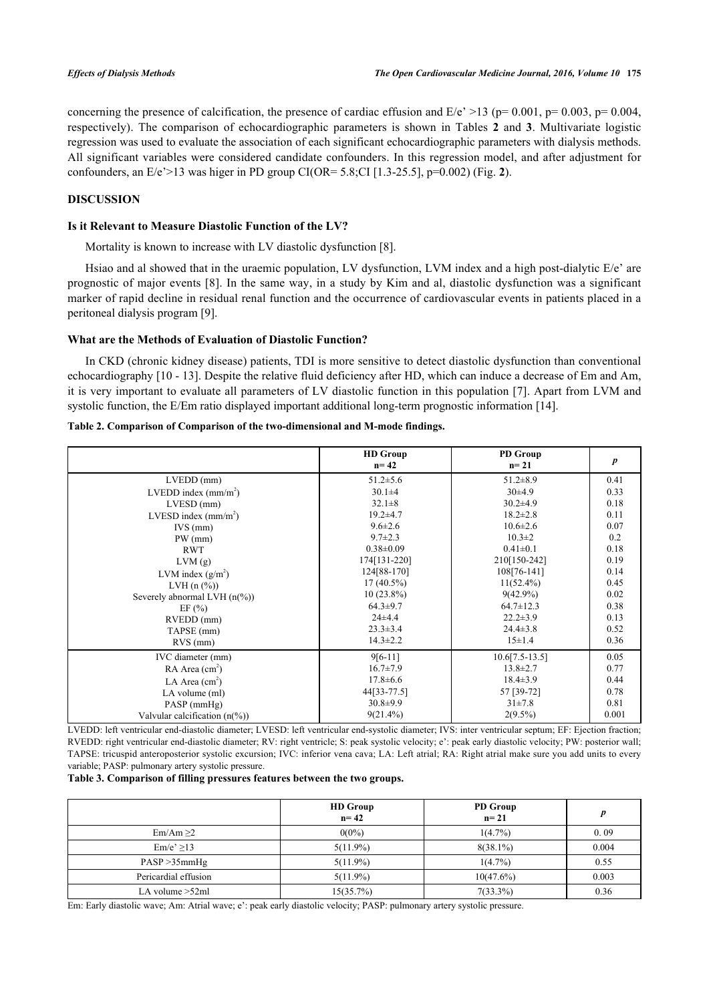concerning the presence of calcification, the presence of cardiac effusion and  $E/e' > 13$  (p= 0.001, p= 0.003, p= 0.004, respectively). The comparison of echocardiographic parameters is shown in Tables**2** and**3**. Multivariate logistic regression was used to evaluate the association of each significant echocardiographic parameters with dialysis methods. All significant variables were considered candidate confounders. In this regression model, and after adjustment for confounders, an E/e'>13 was higer in PD group CI(OR= 5.8;CI [1.3-25.5], p=0.002) (Fig. **[2](#page-2-0)**).

# **DISCUSSION**

### **Is it Relevant to Measure Diastolic Function of the LV?**

Mortality is known to increase with LV diastolic dysfunction [[8\]](#page-6-7).

Hsiao and al showed that in the uraemic population, LV dysfunction, LVM index and a high post-dialytic E/e' are prognostic of major events [[8\]](#page-6-7). In the same way, in a study by Kim and al, diastolic dysfunction was a significant marker of rapid decline in residual renal function and the occurrence of cardiovascular events in patients placed in a peritoneal dialysis program [[9\]](#page-6-8).

### **What are the Methods of Evaluation of Diastolic Function?**

In CKD (chronic kidney disease) patients, TDI is more sensitive to detect diastolic dysfunction than conventional echocardiography [[10](#page-6-9) - [13](#page-6-10)]. Despite the relative fluid deficiency after HD, which can induce a decrease of Em and Am, it is very important to evaluate all parameters of LV diastolic function in this population [\[7](#page-6-6)]. Apart from LVM and systolic function, the E/Em ratio displayed important additional long-term prognostic information [\[14](#page-6-11)].

<span id="page-4-0"></span>

|                                | <b>HD</b> Group<br>$n = 42$ | <b>PD</b> Group<br>$n = 21$ | $\boldsymbol{p}$ |
|--------------------------------|-----------------------------|-----------------------------|------------------|
| $LVEDD$ (mm)                   | $51.2 \pm 5.6$              | $51.2 \pm 8.9$              | 0.41             |
| LVEDD index $(mm/m2)$          | $30.1 \pm 4$                | $30\pm4.9$                  | 0.33             |
| $LVESD$ (mm)                   | $32.1 \pm 8$                | $30.2{\pm}4.9$              | 0.18             |
| LVESD index $(mm/m^2)$         | $19.2 \pm 4.7$              | $18.2 \pm 2.8$              | 0.11             |
| $IVS$ (mm)                     | $9.6 \pm 2.6$               | $10.6 \pm 2.6$              | 0.07             |
| $PW$ (mm)                      | $9.7 \pm 2.3$               | $10.3 \pm 2$                | 0.2              |
| <b>RWT</b>                     | $0.38 \pm 0.09$             | $0.41 \pm 0.1$              | 0.18             |
| LVM(g)                         | 174[131-220]                | 210[150-242]                | 0.19             |
| LVM index $(g/m^2)$            | 124[88-170]                 | 108[76-141]                 | 0.14             |
| LVH(n (%))                     | $17(40.5\%)$                | $11(52.4\%)$                | 0.45             |
| Severely abnormal LVH $(n\%)$  | $10(23.8\%)$                | $9(42.9\%)$                 | 0.02             |
| EF $(\% )$                     | $64.3 \pm 9.7$              | $64.7 \pm 12.3$             | 0.38             |
| RVEDD (mm)                     | $24\pm4.4$                  | $22.2 \pm 3.9$              | 0.13             |
| TAPSE (mm)                     | $23.3 \pm 3.4$              | $24.4 \pm 3.8$              | 0.52             |
| $RVS$ (mm)                     | $14.3 \pm 2.2$              | $15 \pm 1.4$                | 0.36             |
| IVC diameter (mm)              | $9[6-11]$                   | $10.6[7.5-13.5]$            | 0.05             |
| $RA$ Area (cm <sup>2</sup> )   | $16.7 \pm 7.9$              | $13.8 \pm 2.7$              | 0.77             |
| LA Area $(cm2)$                | $17.8 \pm 6.6$              | $18.4 \pm 3.9$              | 0.44             |
| LA volume (ml)                 | 44[33-77.5]                 | 57 [39-72]                  | 0.78             |
| $PASP$ (mmHg)                  | $30.8 \pm 9.9$              | $31 \pm 7.8$                | 0.81             |
| Valvular calcification $(n\%)$ | $9(21.4\%)$                 | $2(9.5\%)$                  | 0.001            |

LVEDD: left ventricular end-diastolic diameter; LVESD: left ventricular end-systolic diameter; IVS: inter ventricular septum; EF: Ejection fraction; RVEDD: right ventricular end-diastolic diameter; RV: right ventricle; S: peak systolic velocity; e': peak early diastolic velocity; PW: posterior wall; TAPSE: tricuspid anteroposterior systolic excursion; IVC: inferior vena cava; LA: Left atrial; RA: Right atrial make sure you add units to every variable; PASP: pulmonary artery systolic pressure.

### <span id="page-4-1"></span>**Table 3. Comparison of filling pressures features between the two groups.**

|                      | <b>HD</b> Group<br>$n = 42$ | <b>PD</b> Group<br>$n=21$ | D     |
|----------------------|-----------------------------|---------------------------|-------|
| $Em/Am \geq 2$       | $0(0\%)$                    | $1(4.7\%)$                | 0.09  |
| $Em/e \geq 13$       | $5(11.9\%)$                 | $8(38.1\%)$               | 0.004 |
| PASP > 35mmHg        | $5(11.9\%)$                 | $1(4.7\%)$                | 0.55  |
| Pericardial effusion | $5(11.9\%)$                 | $10(47.6\%)$              | 0.003 |
| LA volume $>52$ ml   | $15(35.7\%)$                | $7(33.3\%)$               | 0.36  |

Em: Early diastolic wave; Am: Atrial wave; e': peak early diastolic velocity; PASP: pulmonary artery systolic pressure.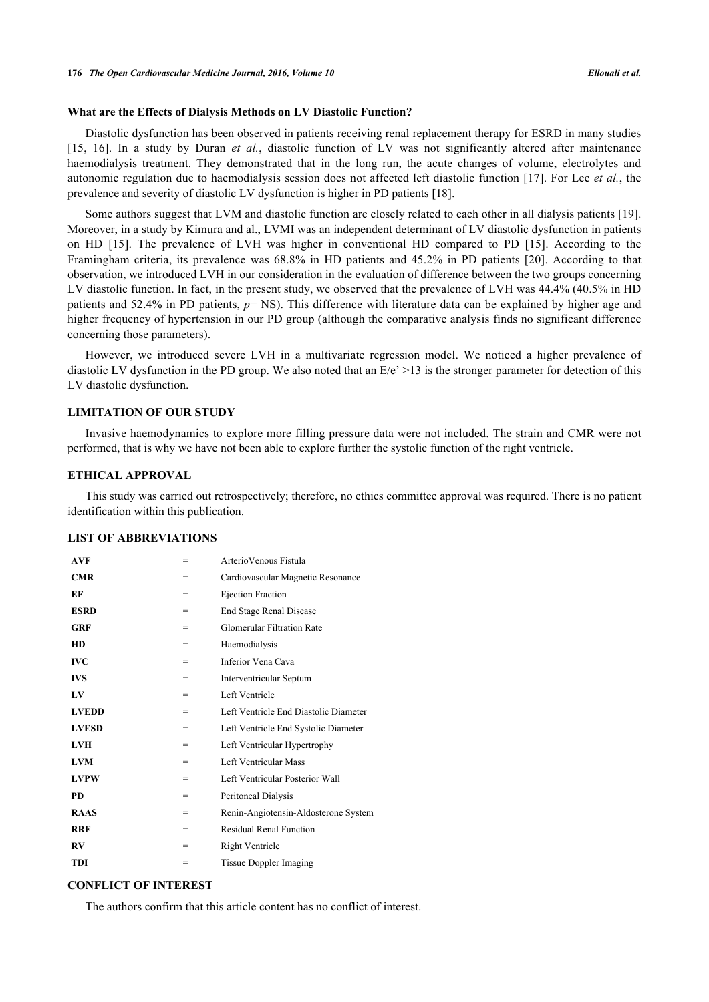### **What are the Effects of Dialysis Methods on LV Diastolic Function?**

Diastolic dysfunction has been observed in patients receiving renal replacement therapy for ESRD in many studies [\[15](#page-6-12), [16](#page-6-13)]. In a study by Duran *et al.*, diastolic function of LV was not significantly altered after maintenance haemodialysis treatment. They demonstrated that in the long run, the acute changes of volume, electrolytes and autonomic regulation due to haemodialysis session does not affected left diastolic function [[17](#page-6-14)]. For Lee *et al.*, the prevalence and severity of diastolic LV dysfunction is higher in PD patients [\[18](#page-6-15)].

Some authors suggest that LVM and diastolic function are closely related to each other in all dialysis patients [[19\]](#page-6-16). Moreover, in a study by Kimura and al., LVMI was an independent determinant of LV diastolic dysfunction in patients on HD[[15\]](#page-6-12). The prevalence of LVH was higher in conventional HD compared to PD[[15\]](#page-6-12). According to the Framingham criteria, its prevalence was 68.8% in HD patients and 45.2% in PD patients[[20](#page-7-0)]. According to that observation, we introduced LVH in our consideration in the evaluation of difference between the two groups concerning LV diastolic function. In fact, in the present study, we observed that the prevalence of LVH was 44.4% (40.5% in HD patients and 52.4% in PD patients, *p*= NS). This difference with literature data can be explained by higher age and higher frequency of hypertension in our PD group (although the comparative analysis finds no significant difference concerning those parameters).

However, we introduced severe LVH in a multivariate regression model. We noticed a higher prevalence of diastolic LV dysfunction in the PD group. We also noted that an  $E/e' > 13$  is the stronger parameter for detection of this LV diastolic dysfunction.

# **LIMITATION OF OUR STUDY**

Invasive haemodynamics to explore more filling pressure data were not included. The strain and CMR were not performed, that is why we have not been able to explore further the systolic function of the right ventricle.

### **ETHICAL APPROVAL**

This study was carried out retrospectively; therefore, no ethics committee approval was required. There is no patient identification within this publication.

### **LIST OF ABBREVIATIONS**

| <b>AVF</b>             | = | Arterio Venous Fistula                |
|------------------------|---|---------------------------------------|
| <b>CMR</b>             | = | Cardiovascular Magnetic Resonance     |
| EF                     | = | Ejection Fraction                     |
| <b>ESRD</b>            | = | End Stage Renal Disease               |
| GRF                    | = | <b>Glomerular Filtration Rate</b>     |
| <b>HD</b>              | = | Haemodialysis                         |
| <b>IVC</b>             | = | Inferior Vena Cava                    |
| <b>IVS</b>             | = | Interventricular Septum               |
| $L$ V                  | = | Left Ventricle                        |
| <b>LVEDD</b>           | = | Left Ventricle End Diastolic Diameter |
| <b>LVESD</b>           | = | Left Ventricle End Systolic Diameter  |
| <b>LVH</b>             | = | Left Ventricular Hypertrophy          |
| <b>LVM</b>             | = | Left Ventricular Mass                 |
| <b>LVPW</b>            | = | Left Ventricular Posterior Wall       |
| <b>PD</b>              | = | Peritoneal Dialysis                   |
| <b>RAAS</b>            | = | Renin-Angiotensin-Aldosterone System  |
| <b>RRF</b>             | = | <b>Residual Renal Function</b>        |
| $\mathbf{R}\mathbf{V}$ | = | Right Ventricle                       |
| TDI                    | = | <b>Tissue Doppler Imaging</b>         |

# **CONFLICT OF INTEREST**

The authors confirm that this article content has no conflict of interest.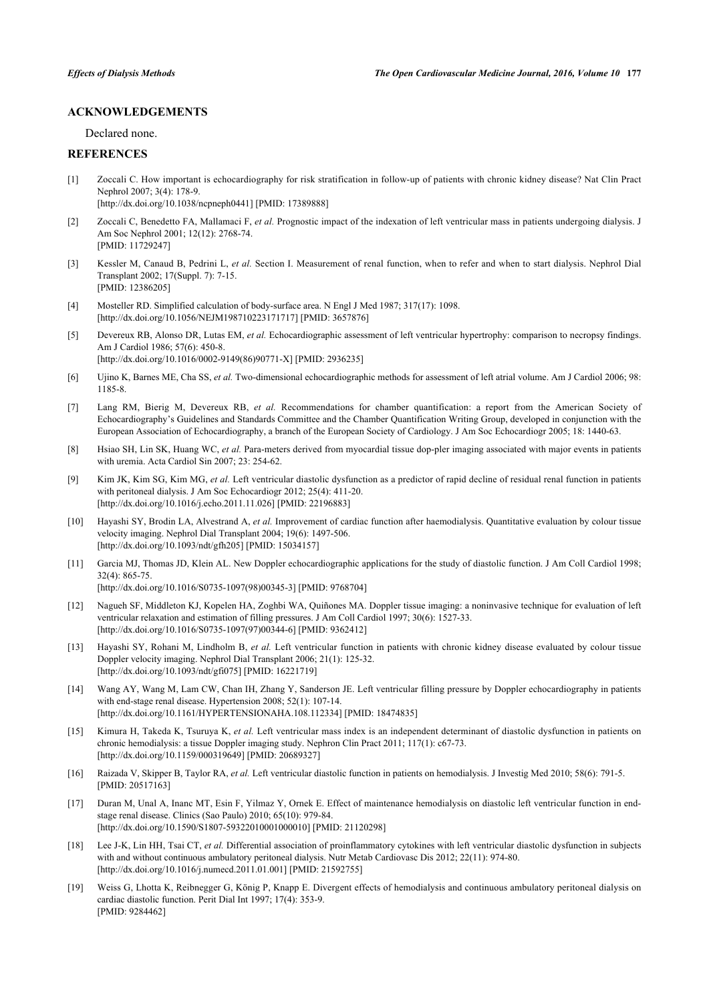### **ACKNOWLEDGEMENTS**

Declared none.

# **REFERENCES**

- <span id="page-6-0"></span>[1] Zoccali C. How important is echocardiography for risk stratification in follow-up of patients with chronic kidney disease? Nat Clin Pract Nephrol 2007; 3(4): 178-9. [\[http://dx.doi.org/10.1038/ncpneph0441\]](http://dx.doi.org/10.1038/ncpneph0441) [PMID: [17389888](http://www.ncbi.nlm.nih.gov/pubmed/17389888)]
- <span id="page-6-1"></span>[2] Zoccali C, Benedetto FA, Mallamaci F, *et al.* Prognostic impact of the indexation of left ventricular mass in patients undergoing dialysis. J Am Soc Nephrol 2001; 12(12): 2768-74. [PMID: [11729247\]](http://www.ncbi.nlm.nih.gov/pubmed/11729247)
- <span id="page-6-2"></span>[3] Kessler M, Canaud B, Pedrini L, *et al.* Section I. Measurement of renal function, when to refer and when to start dialysis. Nephrol Dial Transplant 2002; 17(Suppl. 7): 7-15. [PMID: [12386205\]](http://www.ncbi.nlm.nih.gov/pubmed/12386205)
- <span id="page-6-3"></span>[4] Mosteller RD. Simplified calculation of body-surface area. N Engl J Med 1987; 317(17): 1098. [\[http://dx.doi.org/10.1056/NEJM198710223171717\]](http://dx.doi.org/10.1056/NEJM198710223171717) [PMID: [3657876](http://www.ncbi.nlm.nih.gov/pubmed/3657876)]
- <span id="page-6-4"></span>[5] Devereux RB, Alonso DR, Lutas EM, *et al.* Echocardiographic assessment of left ventricular hypertrophy: comparison to necropsy findings. Am J Cardiol 1986; 57(6): 450-8. [\[http://dx.doi.org/10.1016/0002-9149\(86\)90771-X](http://dx.doi.org/10.1016/0002-9149(86)90771-X)] [PMID: [2936235\]](http://www.ncbi.nlm.nih.gov/pubmed/2936235)
- <span id="page-6-5"></span>[6] Ujino K, Barnes ME, Cha SS, *et al.* Two-dimensional echocardiographic methods for assessment of left atrial volume. Am J Cardiol 2006; 98: 1185-8.
- <span id="page-6-6"></span>[7] Lang RM, Bierig M, Devereux RB, *et al.* Recommendations for chamber quantification: a report from the American Society of Echocardiography's Guidelines and Standards Committee and the Chamber Quantification Writing Group, developed in conjunction with the European Association of Echocardiography, a branch of the European Society of Cardiology. J Am Soc Echocardiogr 2005; 18: 1440-63.
- <span id="page-6-7"></span>[8] Hsiao SH, Lin SK, Huang WC, *et al.* Para-meters derived from myocardial tissue dop-pler imaging associated with major events in patients with uremia. Acta Cardiol Sin 2007; 23: 254-62.
- <span id="page-6-8"></span>[9] Kim JK, Kim SG, Kim MG, *et al.* Left ventricular diastolic dysfunction as a predictor of rapid decline of residual renal function in patients with peritoneal dialysis. J Am Soc Echocardiogr 2012; 25(4): 411-20. [\[http://dx.doi.org/10.1016/j.echo.2011.11.026](http://dx.doi.org/10.1016/j.echo.2011.11.026)] [PMID: [22196883\]](http://www.ncbi.nlm.nih.gov/pubmed/22196883)
- <span id="page-6-9"></span>[10] Hayashi SY, Brodin LA, Alvestrand A, *et al.* Improvement of cardiac function after haemodialysis. Quantitative evaluation by colour tissue velocity imaging. Nephrol Dial Transplant 2004; 19(6): 1497-506. [\[http://dx.doi.org/10.1093/ndt/gfh205\]](http://dx.doi.org/10.1093/ndt/gfh205) [PMID: [15034157](http://www.ncbi.nlm.nih.gov/pubmed/15034157)]
- [11] Garcia MJ, Thomas JD, Klein AL. New Doppler echocardiographic applications for the study of diastolic function. J Am Coll Cardiol 1998; 32(4): 865-75.

[\[http://dx.doi.org/10.1016/S0735-1097\(98\)00345-3\]](http://dx.doi.org/10.1016/S0735-1097(98)00345-3) [PMID: [9768704](http://www.ncbi.nlm.nih.gov/pubmed/9768704)]

- [12] Nagueh SF, Middleton KJ, Kopelen HA, Zoghbi WA, Quiñones MA. Doppler tissue imaging: a noninvasive technique for evaluation of left ventricular relaxation and estimation of filling pressures. J Am Coll Cardiol 1997; 30(6): 1527-33. [\[http://dx.doi.org/10.1016/S0735-1097\(97\)00344-6\]](http://dx.doi.org/10.1016/S0735-1097(97)00344-6) [PMID: [9362412](http://www.ncbi.nlm.nih.gov/pubmed/9362412)]
- <span id="page-6-10"></span>[13] Hayashi SY, Rohani M, Lindholm B, *et al.* Left ventricular function in patients with chronic kidney disease evaluated by colour tissue Doppler velocity imaging. Nephrol Dial Transplant 2006; 21(1): 125-32. [\[http://dx.doi.org/10.1093/ndt/gfi075](http://dx.doi.org/10.1093/ndt/gfi075)] [PMID: [16221719\]](http://www.ncbi.nlm.nih.gov/pubmed/16221719)
- <span id="page-6-11"></span>[14] Wang AY, Wang M, Lam CW, Chan IH, Zhang Y, Sanderson JE. Left ventricular filling pressure by Doppler echocardiography in patients with end-stage renal disease. Hypertension 2008; 52(1): 107-14. [\[http://dx.doi.org/10.1161/HYPERTENSIONAHA.108.112334\]](http://dx.doi.org/10.1161/HYPERTENSIONAHA.108.112334) [PMID: [18474835](http://www.ncbi.nlm.nih.gov/pubmed/18474835)]
- <span id="page-6-12"></span>[15] Kimura H, Takeda K, Tsuruya K, *et al.* Left ventricular mass index is an independent determinant of diastolic dysfunction in patients on chronic hemodialysis: a tissue Doppler imaging study. Nephron Clin Pract 2011; 117(1): c67-73. [\[http://dx.doi.org/10.1159/000319649\]](http://dx.doi.org/10.1159/000319649) [PMID: [20689327](http://www.ncbi.nlm.nih.gov/pubmed/20689327)]
- <span id="page-6-13"></span>[16] Raizada V, Skipper B, Taylor RA, *et al.* Left ventricular diastolic function in patients on hemodialysis. J Investig Med 2010; 58(6): 791-5. [PMID: [20517163\]](http://www.ncbi.nlm.nih.gov/pubmed/20517163)
- <span id="page-6-14"></span>[17] Duran M, Unal A, Inanc MT, Esin F, Yilmaz Y, Ornek E. Effect of maintenance hemodialysis on diastolic left ventricular function in endstage renal disease. Clinics (Sao Paulo) 2010; 65(10): 979-84. [\[http://dx.doi.org/10.1590/S1807-59322010001000010\]](http://dx.doi.org/10.1590/S1807-59322010001000010) [PMID: [21120298](http://www.ncbi.nlm.nih.gov/pubmed/21120298)]
- <span id="page-6-15"></span>[18] Lee J-K, Lin HH, Tsai CT, *et al.* Differential association of proinflammatory cytokines with left ventricular diastolic dysfunction in subjects with and without continuous ambulatory peritoneal dialysis. Nutr Metab Cardiovasc Dis 2012; 22(11): 974-80. [\[http://dx.doi.org/10.1016/j.numecd.2011.01.001](http://dx.doi.org/10.1016/j.numecd.2011.01.001)] [PMID: [21592755\]](http://www.ncbi.nlm.nih.gov/pubmed/21592755)
- <span id="page-6-16"></span>[19] Weiss G, Lhotta K, Reibnegger G, König P, Knapp E. Divergent effects of hemodialysis and continuous ambulatory peritoneal dialysis on cardiac diastolic function. Perit Dial Int 1997; 17(4): 353-9. [PMID: [9284462\]](http://www.ncbi.nlm.nih.gov/pubmed/9284462)